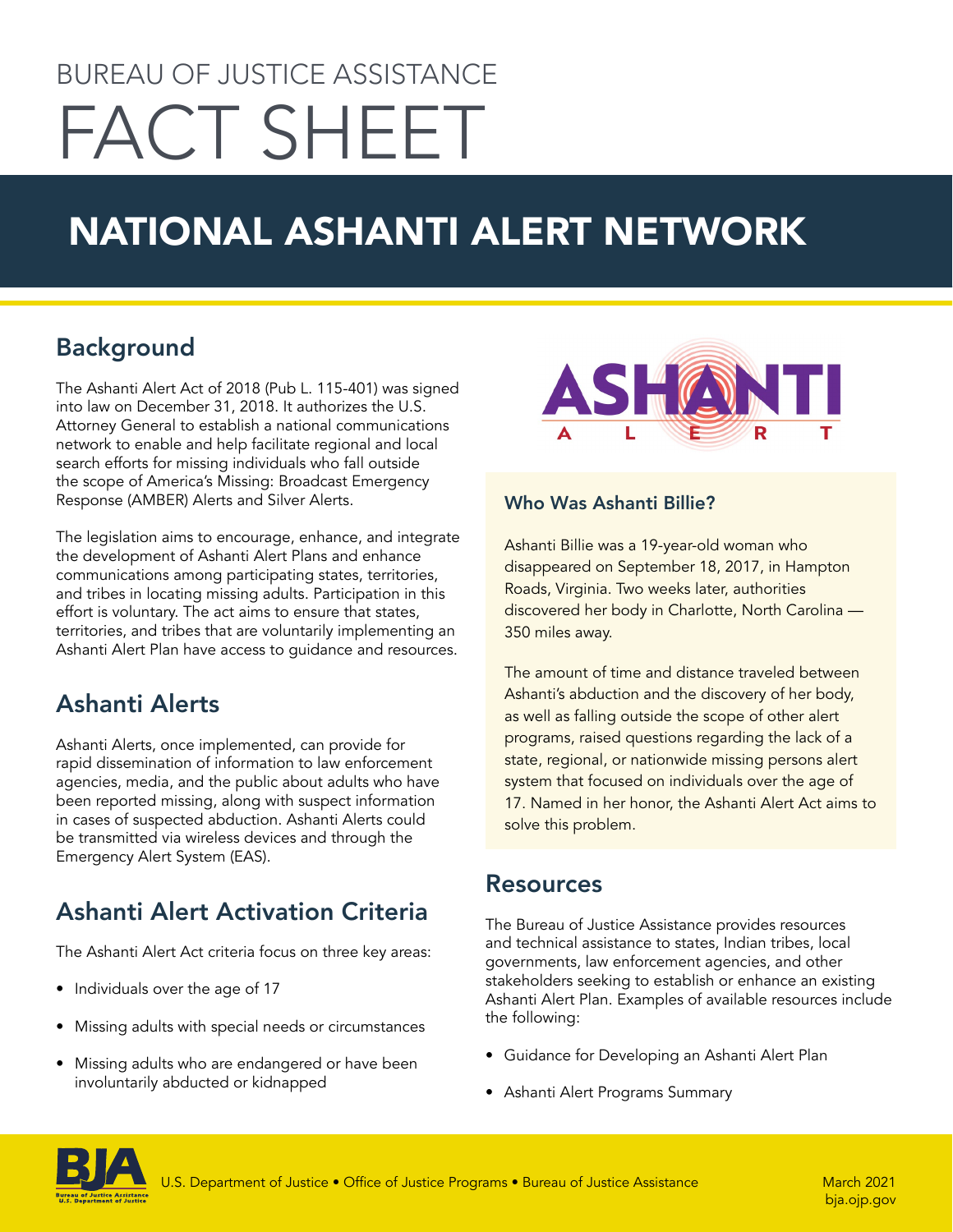# BUREAU OF JUSTICE ASSISTANCE FACT SHEET

# NATIONAL ASHANTI ALERT NETWORK

## Background

The Ashanti Alert Act of 2018 (Pub L. 115-401) was signed into law on December 31, 2018. It authorizes the U.S. Attorney General to establish a national communications network to enable and help facilitate regional and local search efforts for missing individuals who fall outside the scope of America's Missing: Broadcast Emergency Response (AMBER) Alerts and Silver Alerts.

The legislation aims to encourage, enhance, and integrate the development of Ashanti Alert Plans and enhance communications among participating states, territories, and tribes in locating missing adults. Participation in this effort is voluntary. The act aims to ensure that states, territories, and tribes that are voluntarily implementing an Ashanti Alert Plan have access to guidance and resources.

### Ashanti Alerts

Ashanti Alerts, once implemented, can provide for rapid dissemination of information to law enforcement agencies, media, and the public about adults who have been reported missing, along with suspect information in cases of suspected abduction. Ashanti Alerts could be transmitted via wireless devices and through the Emergency Alert System (EAS).

# Ashanti Alert Activation Criteria

The Ashanti Alert Act criteria focus on three key areas:

- Individuals over the age of 17
- Missing adults with special needs or circumstances
- Missing adults who are endangered or have been involuntarily abducted or kidnapped



#### Who Was Ashanti Billie?

Ashanti Billie was a 19-year-old woman who disappeared on September 18, 2017, in Hampton Roads, Virginia. Two weeks later, authorities discovered her body in Charlotte, North Carolina — 350 miles away.

The amount of time and distance traveled between Ashanti's abduction and the discovery of her body, as well as falling outside the scope of other alert programs, raised questions regarding the lack of a state, regional, or nationwide missing persons alert system that focused on individuals over the age of 17. Named in her honor, the Ashanti Alert Act aims to solve this problem.

#### Resources

The Bureau of Justice Assistance provides resources and technical assistance to states, Indian tribes, local governments, law enforcement agencies, and other stakeholders seeking to establish or enhance an existing Ashanti Alert Plan. Examples of available resources include the following:

- Guidance for Developing an Ashanti Alert Plan
- Ashanti Alert Programs Summary